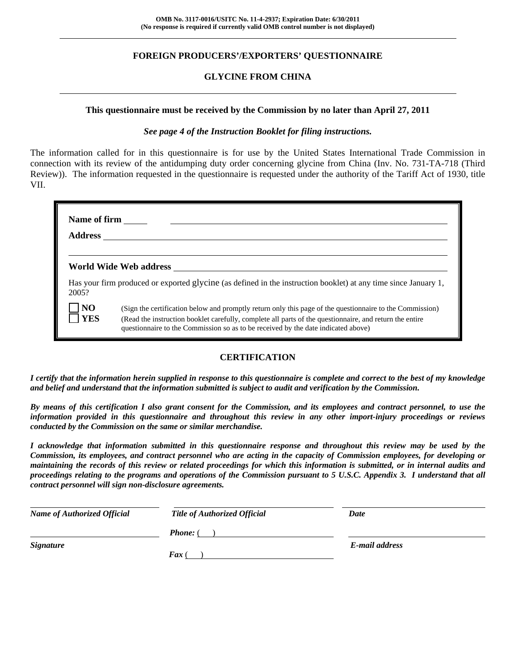## **FOREIGN PRODUCERS'/EXPORTERS' QUESTIONNAIRE**

## **GLYCINE FROM CHINA**

#### **This questionnaire must be received by the Commission by no later than April 27, 2011**

## *See page 4 of the Instruction Booklet for filing instructions.*

The information called for in this questionnaire is for use by the United States International Trade Commission in connection with its review of the antidumping duty order concerning glycine from China (Inv. No. 731-TA-718 (Third Review)). The information requested in the questionnaire is requested under the authority of the Tariff Act of 1930, title VII.

| Name of firm                 | <b>Address</b>                                                                                                                                                                                                                                                                                           |
|------------------------------|----------------------------------------------------------------------------------------------------------------------------------------------------------------------------------------------------------------------------------------------------------------------------------------------------------|
|                              | World Wide Web address North States and Security States and Security States and Security States and Security S                                                                                                                                                                                           |
| 2005?                        | Has your firm produced or exported glycine (as defined in the instruction booklet) at any time since January 1,                                                                                                                                                                                          |
| $\overline{N}$<br><b>YES</b> | (Sign the certification below and promptly return only this page of the questionnaire to the Commission)<br>(Read the instruction booklet carefully, complete all parts of the questionnaire, and return the entire<br>questionnaire to the Commission so as to be received by the date indicated above) |

## **CERTIFICATION**

*I certify that the information herein supplied in response to this questionnaire is complete and correct to the best of my knowledge and belief and understand that the information submitted is subject to audit and verification by the Commission.* 

*By means of this certification I also grant consent for the Commission, and its employees and contract personnel, to use the information provided in this questionnaire and throughout this review in any other import-injury proceedings or reviews conducted by the Commission on the same or similar merchandise.* 

*I acknowledge that information submitted in this questionnaire response and throughout this review may be used by the Commission, its employees, and contract personnel who are acting in the capacity of Commission employees, for developing or maintaining the records of this review or related proceedings for which this information is submitted, or in internal audits and proceedings relating to the programs and operations of the Commission pursuant to 5 U.S.C. Appendix 3. I understand that all contract personnel will sign non-disclosure agreements.* 

| <b>Name of Authorized Official</b> | <b>Title of Authorized Official</b> | Date           |
|------------------------------------|-------------------------------------|----------------|
|                                    | <b>Phone:</b> (                     |                |
| <b>Signature</b>                   |                                     | E-mail address |
|                                    | $\int$ Fax (                        |                |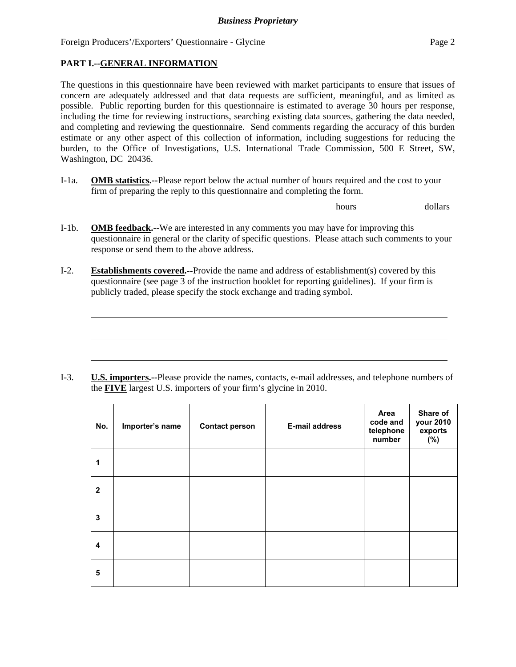## **PART I.--GENERAL INFORMATION**

l

The questions in this questionnaire have been reviewed with market participants to ensure that issues of concern are adequately addressed and that data requests are sufficient, meaningful, and as limited as possible. Public reporting burden for this questionnaire is estimated to average 30 hours per response, including the time for reviewing instructions, searching existing data sources, gathering the data needed, and completing and reviewing the questionnaire. Send comments regarding the accuracy of this burden estimate or any other aspect of this collection of information, including suggestions for reducing the burden, to the Office of Investigations, U.S. International Trade Commission, 500 E Street, SW, Washington, DC 20436.

I-1a. **OMB statistics.--**Please report below the actual number of hours required and the cost to your firm of preparing the reply to this questionnaire and completing the form.

hours dollars

- I-1b. **OMB feedback.--**We are interested in any comments you may have for improving this questionnaire in general or the clarity of specific questions. Please attach such comments to your response or send them to the above address.
- I-2. **Establishments covered.--**Provide the name and address of establishment(s) covered by this questionnaire (see page 3 of the instruction booklet for reporting guidelines). If your firm is publicly traded, please specify the stock exchange and trading symbol.

I-3. **U.S. importers.--**Please provide the names, contacts, e-mail addresses, and telephone numbers of the **FIVE** largest U.S. importers of your firm's glycine in 2010.

| No.                     | Importer's name | <b>Contact person</b> | <b>E-mail address</b> | Area<br>code and<br>telephone<br>number | Share of<br>your 2010<br>exports<br>(%) |
|-------------------------|-----------------|-----------------------|-----------------------|-----------------------------------------|-----------------------------------------|
| $\mathbf{1}$            |                 |                       |                       |                                         |                                         |
| $\mathbf{2}$            |                 |                       |                       |                                         |                                         |
| 3                       |                 |                       |                       |                                         |                                         |
| $\overline{\mathbf{4}}$ |                 |                       |                       |                                         |                                         |
| 5                       |                 |                       |                       |                                         |                                         |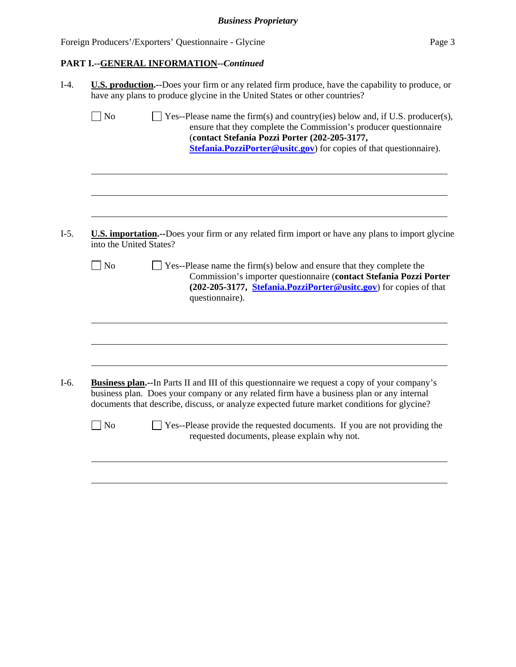## **PART I.--GENERAL INFORMATION--***Continued*

|                         | <b>U.S. production.</b> --Does your firm or any related firm produce, have the capability to produce, or<br>have any plans to produce glycine in the United States or other countries?                                                                                                           |  |  |  |  |
|-------------------------|--------------------------------------------------------------------------------------------------------------------------------------------------------------------------------------------------------------------------------------------------------------------------------------------------|--|--|--|--|
| $\sqrt{ }$ No           | $\exists$ Yes--Please name the firm(s) and country(ies) below and, if U.S. producer(s),<br>ensure that they complete the Commission's producer questionnaire<br>(contact Stefania Pozzi Porter (202-205-3177,<br>Stefania. PozziPorter@usitc.gov) for copies of that questionnaire).             |  |  |  |  |
|                         |                                                                                                                                                                                                                                                                                                  |  |  |  |  |
| into the United States? | <b>U.S. importation.</b> --Does your firm or any related firm import or have any plans to import glycine                                                                                                                                                                                         |  |  |  |  |
| $\Box$ No               | $\Box$ Yes--Please name the firm(s) below and ensure that they complete the<br>Commission's importer questionnaire (contact Stefania Pozzi Porter<br>(202-205-3177, Stefania.PozziPorter@usitc.gov) for copies of that<br>questionnaire).                                                        |  |  |  |  |
|                         |                                                                                                                                                                                                                                                                                                  |  |  |  |  |
|                         | <b>Business plan.--In Parts II and III of this questionnaire we request a copy of your company's</b><br>business plan. Does your company or any related firm have a business plan or any internal<br>documents that describe, discuss, or analyze expected future market conditions for glycine? |  |  |  |  |
|                         | Yes--Please provide the requested documents. If you are not providing the                                                                                                                                                                                                                        |  |  |  |  |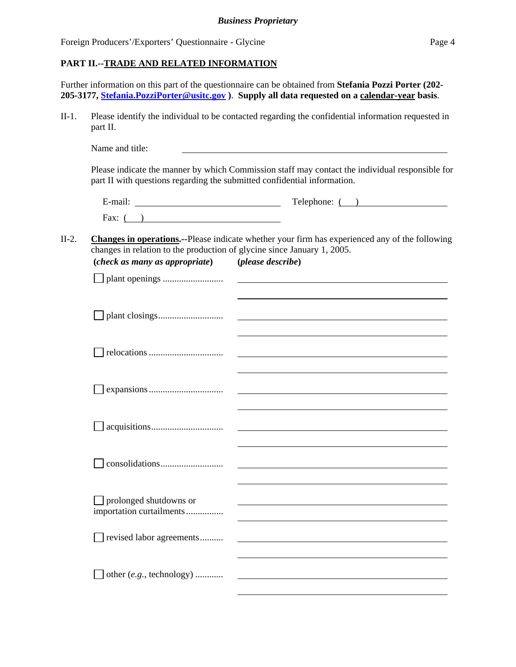## **PART II.--TRADE AND RELATED INFORMATION**

Further information on this part of the questionnaire can be obtained from **Stefania Pozzi Porter (202- 205-3177, Stefania.PozziPorter@usitc.gov )**. **Supply all data requested on a calendar-year basis**.

II-1. Please identify the individual to be contacted regarding the confidential information requested in part II.

part II with questions regarding the submitted confidential information.

Name and title: Please indicate the manner by which Commission staff may contact the individual responsible for

E-mail: Telephone: ( ) Fax:  $($ )

## II-2. **Changes in operations.--**Please indicate whether your firm has experienced any of the following changes in relation to the production of glycine since January 1, 2005. **(***check as many as appropriate***) (***please describe***)**

| <i>(check us many us upproprate)</i>                      | <i>pieuse aescrive)</i>                                                                                              |
|-----------------------------------------------------------|----------------------------------------------------------------------------------------------------------------------|
|                                                           |                                                                                                                      |
|                                                           | <u> 1980 - Johann Stein, marwolaethau a bhann an t-Amhain an t-Amhain an t-Amhain an t-Amhain an t-Amhain an t-A</u> |
|                                                           |                                                                                                                      |
|                                                           |                                                                                                                      |
|                                                           | and the control of the control of the control of the control of the control of the control of the control of the     |
|                                                           |                                                                                                                      |
| $\Box$ prolonged shutdowns or<br>importation curtailments | and the control of the control of the control of the control of the control of the control of the control of the     |
| revised labor agreements                                  |                                                                                                                      |
| other (e.g., technology)                                  |                                                                                                                      |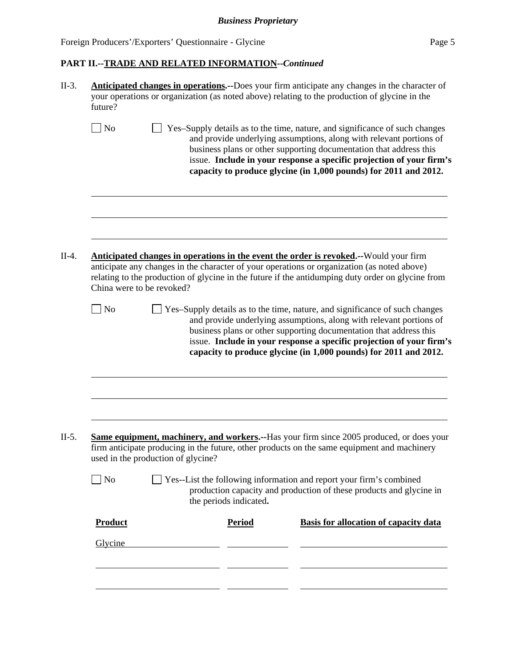| No<br>Yes-Supply details as to the time, nature, and significance of such changes<br>and provide underlying assumptions, along with relevant portions of<br>business plans or other supporting documentation that address this<br>issue. Include in your response a specific projection of your firm's<br>capacity to produce glycine (in 1,000 pounds) for 2011 and 2012.<br>$II-4.$<br>Anticipated changes in operations in the event the order is revoked.--Would your firm<br>anticipate any changes in the character of your operations or organization (as noted above)<br>relating to the production of glycine in the future if the antidumping duty order on glycine from<br>China were to be revoked?<br>$\exists$ No<br>Yes-Supply details as to the time, nature, and significance of such changes<br>and provide underlying assumptions, along with relevant portions of<br>business plans or other supporting documentation that address this<br>issue. Include in your response a specific projection of your firm's<br>capacity to produce glycine (in 1,000 pounds) for 2011 and 2012.<br>$II-5.$<br><b>Same equipment, machinery, and workers.</b> --Has your firm since 2005 produced, or does your<br>firm anticipate producing in the future, other products on the same equipment and machinery<br>used in the production of glycine?<br>$\Box$ No<br>Yes--List the following information and report your firm's combined<br>production capacity and production of these products and glycine in<br>the periods indicated. |                                              |
|--------------------------------------------------------------------------------------------------------------------------------------------------------------------------------------------------------------------------------------------------------------------------------------------------------------------------------------------------------------------------------------------------------------------------------------------------------------------------------------------------------------------------------------------------------------------------------------------------------------------------------------------------------------------------------------------------------------------------------------------------------------------------------------------------------------------------------------------------------------------------------------------------------------------------------------------------------------------------------------------------------------------------------------------------------------------------------------------------------------------------------------------------------------------------------------------------------------------------------------------------------------------------------------------------------------------------------------------------------------------------------------------------------------------------------------------------------------------------------------------------------------------------------------------------|----------------------------------------------|
|                                                                                                                                                                                                                                                                                                                                                                                                                                                                                                                                                                                                                                                                                                                                                                                                                                                                                                                                                                                                                                                                                                                                                                                                                                                                                                                                                                                                                                                                                                                                                  |                                              |
|                                                                                                                                                                                                                                                                                                                                                                                                                                                                                                                                                                                                                                                                                                                                                                                                                                                                                                                                                                                                                                                                                                                                                                                                                                                                                                                                                                                                                                                                                                                                                  |                                              |
|                                                                                                                                                                                                                                                                                                                                                                                                                                                                                                                                                                                                                                                                                                                                                                                                                                                                                                                                                                                                                                                                                                                                                                                                                                                                                                                                                                                                                                                                                                                                                  |                                              |
|                                                                                                                                                                                                                                                                                                                                                                                                                                                                                                                                                                                                                                                                                                                                                                                                                                                                                                                                                                                                                                                                                                                                                                                                                                                                                                                                                                                                                                                                                                                                                  |                                              |
|                                                                                                                                                                                                                                                                                                                                                                                                                                                                                                                                                                                                                                                                                                                                                                                                                                                                                                                                                                                                                                                                                                                                                                                                                                                                                                                                                                                                                                                                                                                                                  |                                              |
|                                                                                                                                                                                                                                                                                                                                                                                                                                                                                                                                                                                                                                                                                                                                                                                                                                                                                                                                                                                                                                                                                                                                                                                                                                                                                                                                                                                                                                                                                                                                                  |                                              |
|                                                                                                                                                                                                                                                                                                                                                                                                                                                                                                                                                                                                                                                                                                                                                                                                                                                                                                                                                                                                                                                                                                                                                                                                                                                                                                                                                                                                                                                                                                                                                  |                                              |
| Product<br><b>Period</b>                                                                                                                                                                                                                                                                                                                                                                                                                                                                                                                                                                                                                                                                                                                                                                                                                                                                                                                                                                                                                                                                                                                                                                                                                                                                                                                                                                                                                                                                                                                         | <b>Basis for allocation of capacity data</b> |
| Glycine                                                                                                                                                                                                                                                                                                                                                                                                                                                                                                                                                                                                                                                                                                                                                                                                                                                                                                                                                                                                                                                                                                                                                                                                                                                                                                                                                                                                                                                                                                                                          |                                              |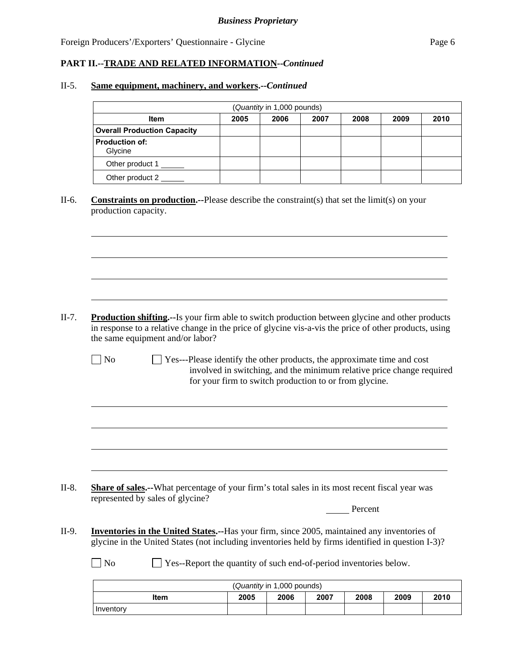l

l

## **PART II.--TRADE AND RELATED INFORMATION--***Continued*

#### II-5. **Same equipment, machinery, and workers.--***Continued*

| (Quantity in 1,000 pounds)         |      |      |      |      |      |      |  |
|------------------------------------|------|------|------|------|------|------|--|
| <b>Item</b>                        | 2005 | 2006 | 2007 | 2008 | 2009 | 2010 |  |
| <b>Overall Production Capacity</b> |      |      |      |      |      |      |  |
| <b>Production of:</b><br>Glycine   |      |      |      |      |      |      |  |
| Other product 1                    |      |      |      |      |      |      |  |
| Other product 2                    |      |      |      |      |      |      |  |

II-6. **Constraints on production.--**Please describe the constraint(s) that set the limit(s) on your production capacity.

- II-7. **Production shifting.--**Is your firm able to switch production between glycine and other products in response to a relative change in the price of glycine vis-a-vis the price of other products, using the same equipment and/or labor?
	- $\Box$  No  $\Box$  Yes---Please identify the other products, the approximate time and cost involved in switching, and the minimum relative price change required for your firm to switch production to or from glycine.

II-8. **Share of sales.--**What percentage of your firm's total sales in its most recent fiscal year was represented by sales of glycine?

Percent

II-9. **Inventories in the United States.--**Has your firm, since 2005, maintained any inventories of glycine in the United States (not including inventories held by firms identified in question I-3)?

No Ses-Report the quantity of such end-of-period inventories below.

| (Quantity in 1,000 pounds) |      |      |      |      |      |      |
|----------------------------|------|------|------|------|------|------|
| <b>Item</b>                | 2005 | 2006 | 2007 | 2008 | 2009 | 2010 |
| Inventory                  |      |      |      |      |      |      |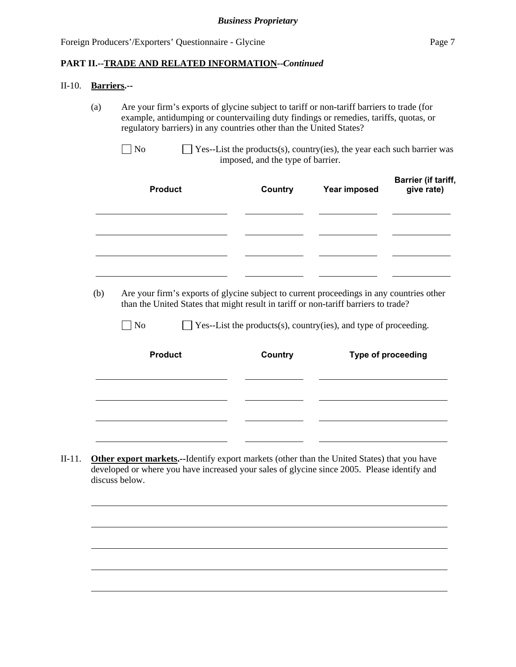#### II-10. **Barriers.--**

l

(a) Are your firm's exports of glycine subject to tariff or non-tariff barriers to trade (for example, antidumping or countervailing duty findings or remedies, tariffs, quotas, or regulatory barriers) in any countries other than the United States?

| <b>Product</b> | Country | Year imposed | <b>Barrier (if tariff,</b><br>give rate) |
|----------------|---------|--------------|------------------------------------------|
|                |         |              |                                          |
|                |         |              |                                          |

 (b) Are your firm's exports of glycine subject to current proceedings in any countries other than the United States that might result in tariff or non-tariff barriers to trade?

 $\Box$  No  $\Box$  Yes--List the products(s), country(ies), and type of proceeding.

| <b>Product</b> | Country | Type of proceeding |
|----------------|---------|--------------------|
|                |         |                    |
|                |         |                    |
|                |         |                    |
|                |         |                    |

II-11. **Other export markets.--**Identify export markets (other than the United States) that you have developed or where you have increased your sales of glycine since 2005. Please identify and discuss below.



 $\Box$  No  $\Box$  Yes--List the products(s), country(ies), the year each such barrier was imposed, and the type of barrier.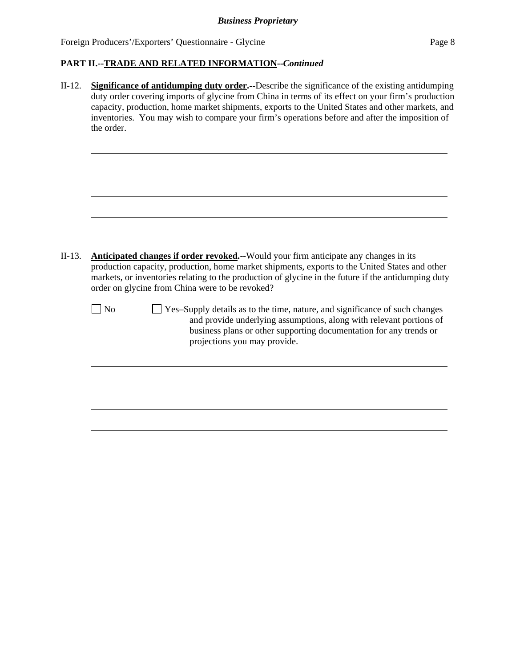| $II-12.$ | <b>Significance of antidumping duty order.</b> --Describe the significance of the existing antidumping<br>duty order covering imports of glycine from China in terms of its effect on your firm's production<br>capacity, production, home market shipments, exports to the United States and other markets, and<br>inventories. You may wish to compare your firm's operations before and after the imposition of<br>the order. |
|----------|----------------------------------------------------------------------------------------------------------------------------------------------------------------------------------------------------------------------------------------------------------------------------------------------------------------------------------------------------------------------------------------------------------------------------------|
| $II-13.$ | <b>Anticipated changes if order revoked.</b> --Would your firm anticipate any changes in its<br>production capacity, production, home market shipments, exports to the United States and other<br>markets, or inventories relating to the production of glycine in the future if the antidumping duty<br>order on glycine from China were to be revoked?                                                                         |
|          | Yes-Supply details as to the time, nature, and significance of such changes<br>$ $ No<br>and provide underlying assumptions, along with relevant portions of<br>business plans or other supporting documentation for any trends or<br>projections you may provide.                                                                                                                                                               |
|          |                                                                                                                                                                                                                                                                                                                                                                                                                                  |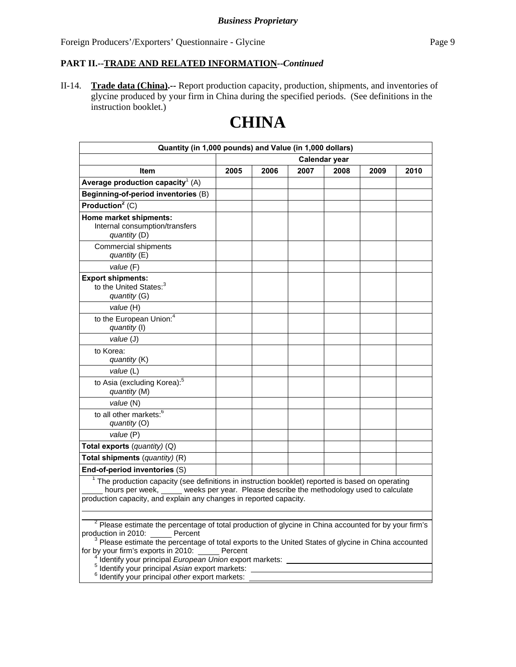II-14. **Trade data (China).--** Report production capacity, production, shipments, and inventories of glycine produced by your firm in China during the specified periods. (See definitions in the instruction booklet.)

# **CHINA**

| Quantity (in 1,000 pounds) and Value (in 1,000 dollars)                                                                                                                                                                                                                       |               |      |      |      |      |      |
|-------------------------------------------------------------------------------------------------------------------------------------------------------------------------------------------------------------------------------------------------------------------------------|---------------|------|------|------|------|------|
|                                                                                                                                                                                                                                                                               | Calendar year |      |      |      |      |      |
| Item                                                                                                                                                                                                                                                                          | 2005          | 2006 | 2007 | 2008 | 2009 | 2010 |
| Average production capacity <sup>1</sup> (A)                                                                                                                                                                                                                                  |               |      |      |      |      |      |
| Beginning-of-period inventories (B)                                                                                                                                                                                                                                           |               |      |      |      |      |      |
| Production <sup>2</sup> (C)                                                                                                                                                                                                                                                   |               |      |      |      |      |      |
| Home market shipments:<br>Internal consumption/transfers<br>quantity (D)                                                                                                                                                                                                      |               |      |      |      |      |      |
| <b>Commercial shipments</b><br>quantity $(E)$                                                                                                                                                                                                                                 |               |      |      |      |      |      |
| value (F)                                                                                                                                                                                                                                                                     |               |      |      |      |      |      |
| <b>Export shipments:</b><br>to the United States: <sup>3</sup><br>quantity (G)                                                                                                                                                                                                |               |      |      |      |      |      |
| value (H)                                                                                                                                                                                                                                                                     |               |      |      |      |      |      |
| to the European Union: <sup>4</sup><br>quantity (I)                                                                                                                                                                                                                           |               |      |      |      |      |      |
| value (J)                                                                                                                                                                                                                                                                     |               |      |      |      |      |      |
| to Korea:<br>quantity (K)                                                                                                                                                                                                                                                     |               |      |      |      |      |      |
| value (L)                                                                                                                                                                                                                                                                     |               |      |      |      |      |      |
| to Asia (excluding Korea): <sup>5</sup><br>quantity (M)                                                                                                                                                                                                                       |               |      |      |      |      |      |
| value (N)                                                                                                                                                                                                                                                                     |               |      |      |      |      |      |
| to all other markets: <sup>6</sup><br>quantity (O)                                                                                                                                                                                                                            |               |      |      |      |      |      |
| value (P)                                                                                                                                                                                                                                                                     |               |      |      |      |      |      |
| Total exports (quantity) (Q)                                                                                                                                                                                                                                                  |               |      |      |      |      |      |
| Total shipments (quantity) (R)                                                                                                                                                                                                                                                |               |      |      |      |      |      |
| End-of-period inventories (S)                                                                                                                                                                                                                                                 |               |      |      |      |      |      |
| <sup>1</sup> The production capacity (see definitions in instruction booklet) reported is based on operating<br>hours per week, _____ weeks per year. Please describe the methodology used to calculate<br>production capacity, and explain any changes in reported capacity. |               |      |      |      |      |      |
|                                                                                                                                                                                                                                                                               |               |      |      |      |      |      |
| <sup>2</sup> Please estimate the percentage of total production of glycine in China accounted for by your firm's<br>production in 2010: Percent<br>$3$ Please estimate the percentage of total exports to the United States of glycine in China accounted                     |               |      |      |      |      |      |

for by your firm's exports in 2010: Percent

<sup>4</sup> Identify your principal *European Union* export markets:<br><sup>5</sup> Identify your principal *Acion* export markets:

Identify your principal *Asian* export markets:

Identify your principal *other* export markets: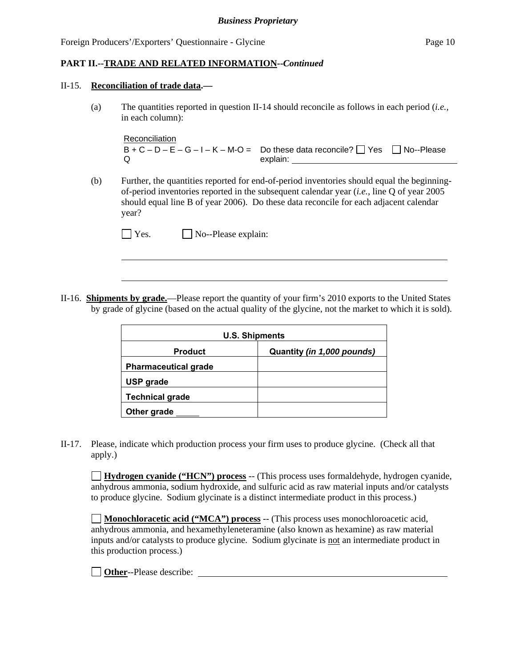#### II-15. **Reconciliation of trade data.—**

 $\overline{a}$ 

(a) The quantities reported in question II-14 should reconcile as follows in each period (*i.e.*, in each column):

```
Reconciliation
B + C - D - E - G - I - K - M - O = Do these data reconcile? \Box Yes \Box No--Please
\Omegaexplain: _
```
(b) Further, the quantities reported for end-of-period inventories should equal the beginningof-period inventories reported in the subsequent calendar year (*i.e.*, line Q of year 2005 should equal line B of year 2006). Do these data reconcile for each adjacent calendar year?

| $\Box$ Yes. | $\Box$ No--Please explain: |
|-------------|----------------------------|
|-------------|----------------------------|

II-16. **Shipments by grade.**—Please report the quantity of your firm's 2010 exports to the United States by grade of glycine (based on the actual quality of the glycine, not the market to which it is sold).

| <b>U.S. Shipments</b>       |                            |  |
|-----------------------------|----------------------------|--|
| <b>Product</b>              | Quantity (in 1,000 pounds) |  |
| <b>Pharmaceutical grade</b> |                            |  |
| <b>USP</b> grade            |                            |  |
| <b>Technical grade</b>      |                            |  |
| Other grade                 |                            |  |

II-17. Please, indicate which production process your firm uses to produce glycine. (Check all that apply.)

**Hydrogen cyanide ("HCN") process** -- (This process uses formaldehyde, hydrogen cyanide, anhydrous ammonia, sodium hydroxide, and sulfuric acid as raw material inputs and/or catalysts to produce glycine. Sodium glycinate is a distinct intermediate product in this process.)

**Monochloracetic acid ("MCA") process** -- (This process uses monochloroacetic acid, anhydrous ammonia, and hexamethyleneteramine (also known as hexamine) as raw material inputs and/or catalysts to produce glycine. Sodium glycinate is not an intermediate product in this production process.)

**Other**--Please describe: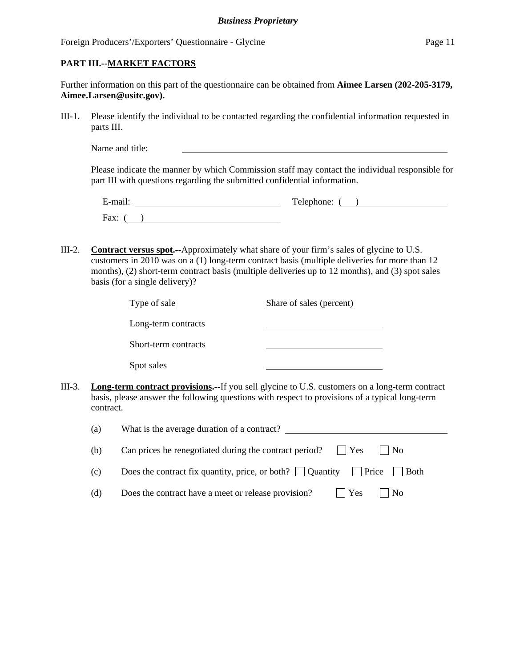## **PART III.--MARKET FACTORS**

| Further information on this part of the questionnaire can be obtained from Aimee Larsen (202-205-3179, |  |  |
|--------------------------------------------------------------------------------------------------------|--|--|
| Aimee.Larsen@usitc.gov).                                                                               |  |  |

III-1. Please identify the individual to be contacted regarding the confidential information requested in parts III.

| Name and title: |
|-----------------|
|-----------------|

Please indicate the manner by which Commission staff may contact the individual responsible for part III with questions regarding the submitted confidential information.

| $\cdots$<br>±-mail <sup>.</sup> | Telephone: |
|---------------------------------|------------|
| Fax:                            |            |

III-2. **Contract versus spot.--**Approximately what share of your firm's sales of glycine to U.S. customers in 2010 was on a (1) long-term contract basis (multiple deliveries for more than 12 months), (2) short-term contract basis (multiple deliveries up to 12 months), and (3) spot sales basis (for a single delivery)?

| Type of sale         | Share of sales (percent) |  |
|----------------------|--------------------------|--|
| Long-term contracts  |                          |  |
| Short-term contracts |                          |  |
| Spot sales           |                          |  |
|                      |                          |  |

III-3. **Long-term contract provisions.--**If you sell glycine to U.S. customers on a long-term contract basis, please answer the following questions with respect to provisions of a typical long-term contract.

| (a) | What is the average duration of a contract?                                                        |
|-----|----------------------------------------------------------------------------------------------------|
| (b) | Can prices be renegotiated during the contract period?<br>$\blacksquare$ Yes<br>$\vert$ $\vert$ No |
| (c) | Does the contract fix quantity, price, or both? $\Box$ Quantity $\Box$ Price $\Box$ Both           |
| (d) | $\vert$   Yes<br>Does the contract have a meet or release provision?<br>$\vert$   No               |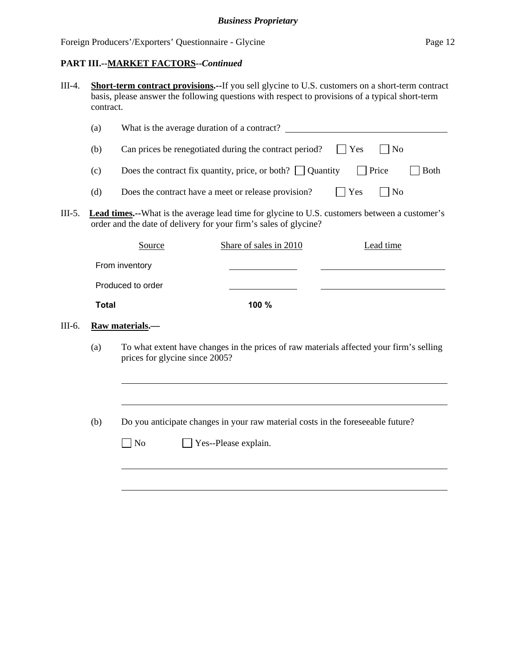| III-4. | <b>Short-term contract provisions.--</b> If you sell glycine to U.S. customers on a short-term contract |
|--------|---------------------------------------------------------------------------------------------------------|
|        | basis, please answer the following questions with respect to provisions of a typical short-term         |
|        | contract.                                                                                               |

|                   | (a)                                                                                    | What is the average duration of a contract?                                                                                                                              |      |             |           |  |
|-------------------|----------------------------------------------------------------------------------------|--------------------------------------------------------------------------------------------------------------------------------------------------------------------------|------|-------------|-----------|--|
|                   | (b)                                                                                    | $ $ Yes<br>Can prices be renegotiated during the contract period?<br>N <sub>0</sub>                                                                                      |      |             |           |  |
|                   | Price<br>Does the contract fix quantity, price, or both? $\vert \vert$ Quantity<br>(c) |                                                                                                                                                                          |      | <b>Both</b> |           |  |
|                   | (d)                                                                                    | Yes<br>  No<br>Does the contract have a meet or release provision?                                                                                                       |      |             |           |  |
| $III-5.$          |                                                                                        | <b>Lead times.</b> -What is the average lead time for glycine to U.S. customers between a customer's<br>order and the date of delivery for your firm's sales of glycine? |      |             |           |  |
|                   |                                                                                        | Share of sales in 2010<br>Source                                                                                                                                         |      |             | Lead time |  |
|                   |                                                                                        | From inventory                                                                                                                                                           |      |             |           |  |
| Produced to order |                                                                                        |                                                                                                                                                                          |      |             |           |  |
|                   | <b>Total</b>                                                                           |                                                                                                                                                                          | 100% |             |           |  |
| III-6.            |                                                                                        | Raw materials.—                                                                                                                                                          |      |             |           |  |

(a) To what extent have changes in the prices of raw materials affected your firm's selling prices for glycine since 2005?

(b) Do you anticipate changes in your raw material costs in the foreseeable future?

| $\Box$ No | $\Box$ Yes--Please explain. |
|-----------|-----------------------------|
|-----------|-----------------------------|

l

 $\overline{a}$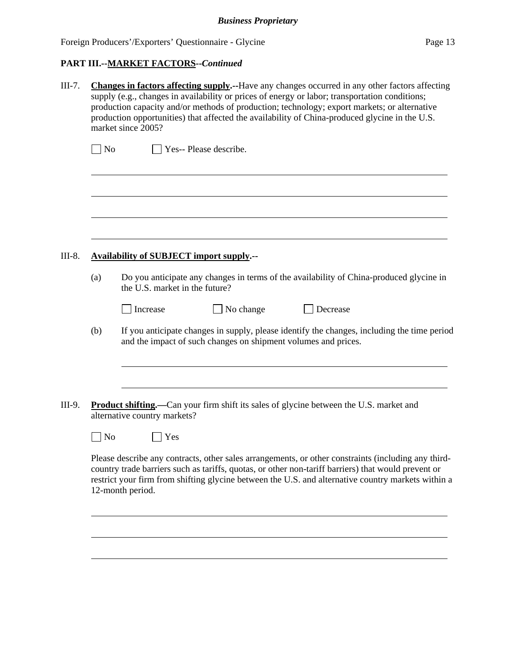# **PART III.--MARKET FACTORS--***Continued*

| $III-7.$                            | <b>Changes in factors affecting supply.--Have any changes occurred in any other factors affecting</b><br>supply (e.g., changes in availability or prices of energy or labor; transportation conditions;<br>production capacity and/or methods of production; technology; export markets; or alternative<br>production opportunities) that affected the availability of China-produced glycine in the U.S.<br>market since 2005? |                                                                                                                                                                                                                                                                                                                                      |  |  |
|-------------------------------------|---------------------------------------------------------------------------------------------------------------------------------------------------------------------------------------------------------------------------------------------------------------------------------------------------------------------------------------------------------------------------------------------------------------------------------|--------------------------------------------------------------------------------------------------------------------------------------------------------------------------------------------------------------------------------------------------------------------------------------------------------------------------------------|--|--|
| Yes-- Please describe.<br>$\Box$ No |                                                                                                                                                                                                                                                                                                                                                                                                                                 |                                                                                                                                                                                                                                                                                                                                      |  |  |
|                                     |                                                                                                                                                                                                                                                                                                                                                                                                                                 |                                                                                                                                                                                                                                                                                                                                      |  |  |
| III-8.                              |                                                                                                                                                                                                                                                                                                                                                                                                                                 | <b>Availability of SUBJECT import supply.--</b>                                                                                                                                                                                                                                                                                      |  |  |
|                                     | (a)                                                                                                                                                                                                                                                                                                                                                                                                                             | Do you anticipate any changes in terms of the availability of China-produced glycine in<br>the U.S. market in the future?                                                                                                                                                                                                            |  |  |
|                                     |                                                                                                                                                                                                                                                                                                                                                                                                                                 | No change<br>Increase<br>Decrease                                                                                                                                                                                                                                                                                                    |  |  |
|                                     | (b)                                                                                                                                                                                                                                                                                                                                                                                                                             | If you anticipate changes in supply, please identify the changes, including the time period<br>and the impact of such changes on shipment volumes and prices.                                                                                                                                                                        |  |  |
|                                     |                                                                                                                                                                                                                                                                                                                                                                                                                                 |                                                                                                                                                                                                                                                                                                                                      |  |  |
| III-9.                              |                                                                                                                                                                                                                                                                                                                                                                                                                                 | Product shifting.—Can your firm shift its sales of glycine between the U.S. market and<br>alternative country markets?                                                                                                                                                                                                               |  |  |
|                                     | N <sub>o</sub>                                                                                                                                                                                                                                                                                                                                                                                                                  | Yes                                                                                                                                                                                                                                                                                                                                  |  |  |
|                                     |                                                                                                                                                                                                                                                                                                                                                                                                                                 | Please describe any contracts, other sales arrangements, or other constraints (including any third-<br>country trade barriers such as tariffs, quotas, or other non-tariff barriers) that would prevent or<br>restrict your firm from shifting glycine between the U.S. and alternative country markets within a<br>12-month period. |  |  |
|                                     |                                                                                                                                                                                                                                                                                                                                                                                                                                 |                                                                                                                                                                                                                                                                                                                                      |  |  |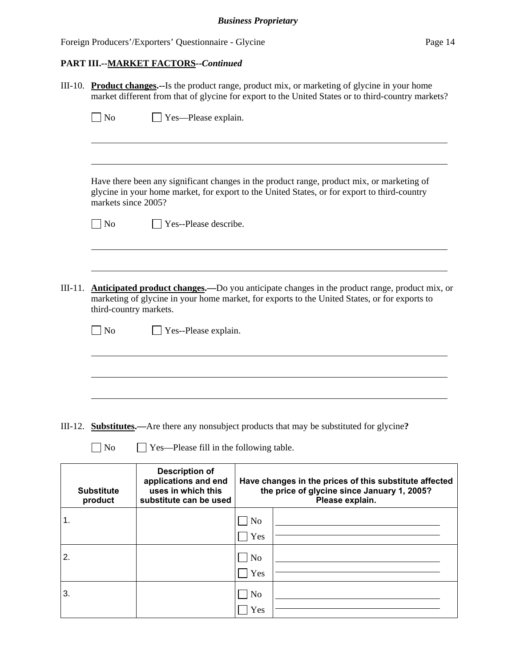## **PART III.--MARKET FACTORS--***Continued*

| III-10. Product changes.--Is the product range, product mix, or marketing of glycine in your home |                                                                                                    |  |  |  |
|---------------------------------------------------------------------------------------------------|----------------------------------------------------------------------------------------------------|--|--|--|
|                                                                                                   | market different from that of glycine for export to the United States or to third-country markets? |  |  |  |
|                                                                                                   |                                                                                                    |  |  |  |
| $\Box$ No                                                                                         | $\vert$ Yes—Please explain.                                                                        |  |  |  |
|                                                                                                   |                                                                                                    |  |  |  |
|                                                                                                   |                                                                                                    |  |  |  |
|                                                                                                   |                                                                                                    |  |  |  |
|                                                                                                   |                                                                                                    |  |  |  |

 Have there been any significant changes in the product range, product mix, or marketing of glycine in your home market, for export to the United States, or for export to third-country markets since 2005?

| ۰. |
|----|
|----|

 $\overline{a}$ 

 $\overline{a}$ 

 $\Box$  Yes--Please describe.

III-11. **Anticipated product changes.—**Do you anticipate changes in the product range, product mix, or marketing of glycine in your home market, for exports to the United States, or for exports to third-country markets.

No **Pres**--Please explain.

III-12. **Substitutes.—**Are there any nonsubject products that may be substituted for glycine**?**

No Yes—Please fill in the following table.

| <b>Substitute</b><br>product | <b>Description of</b><br>applications and end<br>uses in which this<br>substitute can be used | Have changes in the prices of this substitute affected<br>the price of glycine since January 1, 2005?<br>Please explain. |  |  |
|------------------------------|-----------------------------------------------------------------------------------------------|--------------------------------------------------------------------------------------------------------------------------|--|--|
| 1.                           |                                                                                               | $ $ No                                                                                                                   |  |  |
|                              |                                                                                               | Yes                                                                                                                      |  |  |
| 2.                           |                                                                                               | $\log$                                                                                                                   |  |  |
|                              |                                                                                               | Yes                                                                                                                      |  |  |
| 3.                           |                                                                                               | No                                                                                                                       |  |  |
|                              |                                                                                               | Yes                                                                                                                      |  |  |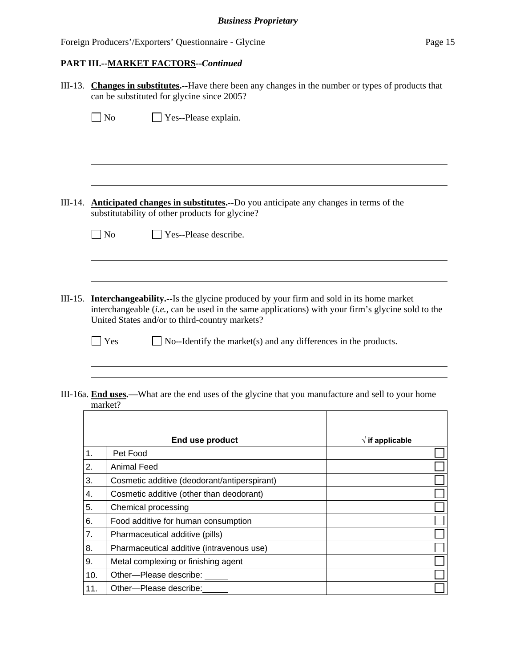|           | III-13. Changes in substitutes.--Have there been any changes in the number or types of products that<br>can be substituted for glycine since 2005?                                                                                                   |  |  |  |
|-----------|------------------------------------------------------------------------------------------------------------------------------------------------------------------------------------------------------------------------------------------------------|--|--|--|
|           | $\blacksquare$ No<br>Yes--Please explain.                                                                                                                                                                                                            |  |  |  |
|           |                                                                                                                                                                                                                                                      |  |  |  |
|           |                                                                                                                                                                                                                                                      |  |  |  |
| III-14.   | Anticipated changes in substitutes.--Do you anticipate any changes in terms of the<br>substitutability of other products for glycine?                                                                                                                |  |  |  |
|           | $\Box$ No<br>Yes--Please describe.                                                                                                                                                                                                                   |  |  |  |
|           |                                                                                                                                                                                                                                                      |  |  |  |
| $III-15.$ | <b>Interchangeability.</b> --Is the glycine produced by your firm and sold in its home market<br>interchangeable (i.e., can be used in the same applications) with your firm's glycine sold to the<br>United States and/or to third-country markets? |  |  |  |
|           | Yes<br>No--Identify the market(s) and any differences in the products.                                                                                                                                                                               |  |  |  |
|           |                                                                                                                                                                                                                                                      |  |  |  |
|           | III-16a. End uses.—What are the end uses of the glycine that you manufacture and sell to your home<br>market?                                                                                                                                        |  |  |  |

|     | IIIAI NUI :                                  |                          |
|-----|----------------------------------------------|--------------------------|
|     |                                              |                          |
|     | End use product                              | $\sqrt{ }$ if applicable |
| 1.  | Pet Food                                     |                          |
| 2.  | Animal Feed                                  |                          |
| 3.  | Cosmetic additive (deodorant/antiperspirant) |                          |
| 4.  | Cosmetic additive (other than deodorant)     |                          |
| 5.  | Chemical processing                          |                          |
| 6.  | Food additive for human consumption          |                          |
| 7.  | Pharmaceutical additive (pills)              |                          |
| 8.  | Pharmaceutical additive (intravenous use)    |                          |
| 9.  | Metal complexing or finishing agent          |                          |
| 10. | Other-Please describe:                       |                          |
| 11. | Other---Please describe:                     |                          |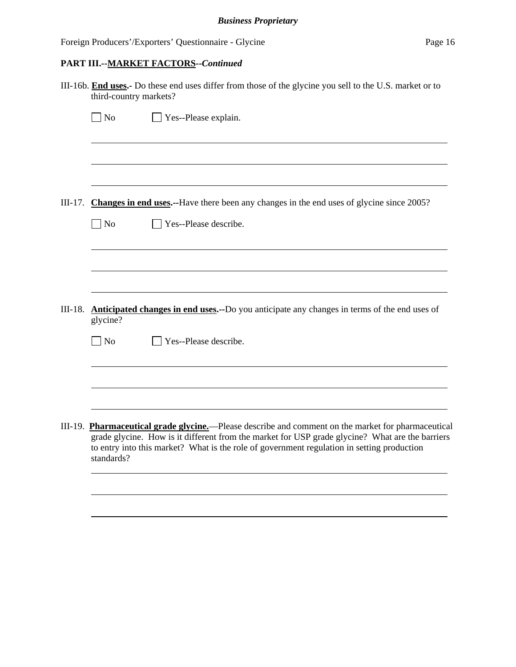|           | III-16b. End uses.- Do these end uses differ from those of the glycine you sell to the U.S. market or to<br>third-country markets? |                                                                                                                                                                                                                                                                                                     |  |  |  |
|-----------|------------------------------------------------------------------------------------------------------------------------------------|-----------------------------------------------------------------------------------------------------------------------------------------------------------------------------------------------------------------------------------------------------------------------------------------------------|--|--|--|
|           | $\Box$ No                                                                                                                          | $\Box$ Yes--Please explain.                                                                                                                                                                                                                                                                         |  |  |  |
|           |                                                                                                                                    |                                                                                                                                                                                                                                                                                                     |  |  |  |
| $III-17.$ |                                                                                                                                    | Changes in end uses.--Have there been any changes in the end uses of glycine since 2005?                                                                                                                                                                                                            |  |  |  |
|           | $\sqrt{\phantom{a}}$ No                                                                                                            | Yes--Please describe.                                                                                                                                                                                                                                                                               |  |  |  |
|           |                                                                                                                                    |                                                                                                                                                                                                                                                                                                     |  |  |  |
|           |                                                                                                                                    |                                                                                                                                                                                                                                                                                                     |  |  |  |
|           | III-18. <b>Anticipated changes in end uses.</b> --Do you anticipate any changes in terms of the end uses of<br>glycine?            |                                                                                                                                                                                                                                                                                                     |  |  |  |
|           | $\Box$ No                                                                                                                          | Yes--Please describe.                                                                                                                                                                                                                                                                               |  |  |  |
|           |                                                                                                                                    |                                                                                                                                                                                                                                                                                                     |  |  |  |
|           |                                                                                                                                    |                                                                                                                                                                                                                                                                                                     |  |  |  |
|           | standards?                                                                                                                         | III-19. Pharmaceutical grade glycine.—Please describe and comment on the market for pharmaceutical<br>grade glycine. How is it different from the market for USP grade glycine? What are the barriers<br>to entry into this market? What is the role of government regulation in setting production |  |  |  |
|           |                                                                                                                                    |                                                                                                                                                                                                                                                                                                     |  |  |  |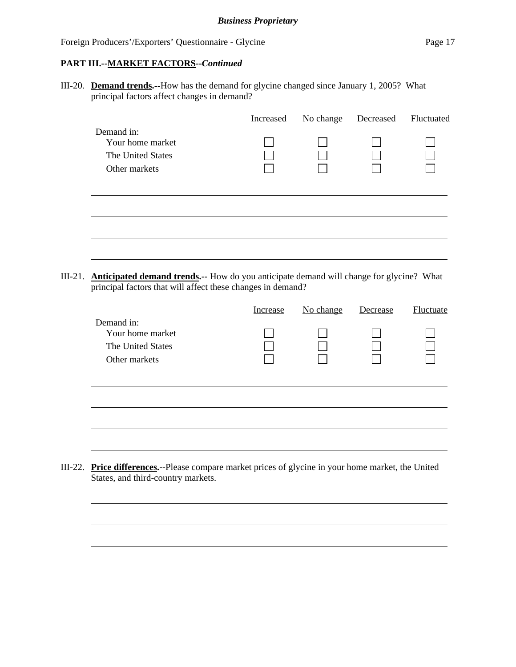l

III-20. **Demand trends.--**How has the demand for glycine changed since January 1, 2005? What principal factors affect changes in demand?

|                                                                      | Increased | No change | Decreased | Fluctuated |
|----------------------------------------------------------------------|-----------|-----------|-----------|------------|
| Demand in:<br>Your home market<br>The United States<br>Other markets |           |           |           |            |
|                                                                      |           |           |           |            |
|                                                                      |           |           |           |            |
|                                                                      |           |           |           |            |

III-21. **Anticipated demand trends.--** How do you anticipate demand will change for glycine? What principal factors that will affect these changes in demand?

|                                                                                                    | Increase | No change | Decrease | Fluctuate |
|----------------------------------------------------------------------------------------------------|----------|-----------|----------|-----------|
| Demand in:<br>Your home market<br>The United States<br>Other markets                               |          |           |          |           |
|                                                                                                    |          |           |          |           |
| <b>Price differences.--Please compare market prices of glycine in your home market, the United</b> |          |           |          |           |

III-22. **Price differences.--**Please compare market prices of glycine in your home market, the United States, and third-country markets.